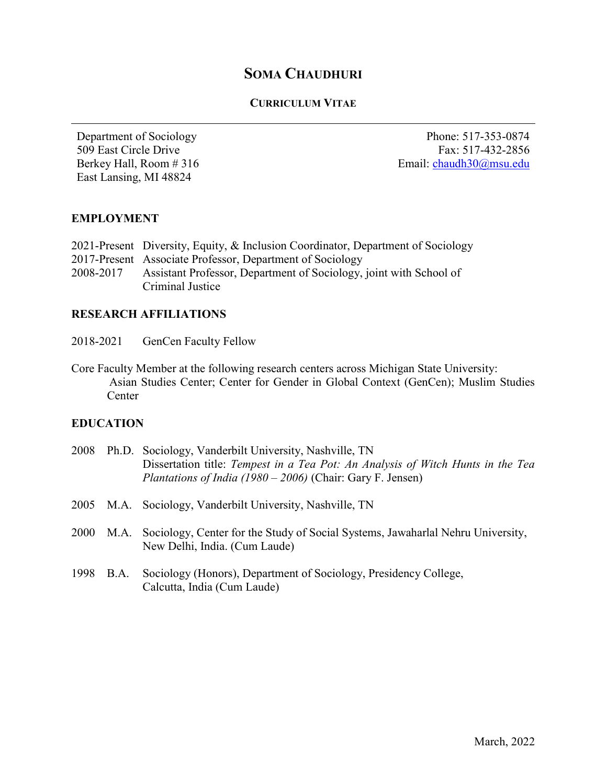# SOMA CHAUDHURI

## CURRICULUM VITAE

Department of Sociology 509 East Circle Drive Berkey Hall, Room # 316 East Lansing, MI 48824

Phone: 517-353-0874 Fax: 517-432-2856 Email: chaudh30@msu.edu

## EMPLOYMENT

|           | 2021-Present Diversity, Equity, & Inclusion Coordinator, Department of Sociology |
|-----------|----------------------------------------------------------------------------------|
|           | 2017-Present Associate Professor, Department of Sociology                        |
| 2008-2017 | Assistant Professor, Department of Sociology, joint with School of               |
|           | Criminal Justice                                                                 |

## RESEARCH AFFILIATIONS

- 2018-2021 GenCen Faculty Fellow
- Core Faculty Member at the following research centers across Michigan State University: Asian Studies Center; Center for Gender in Global Context (GenCen); Muslim Studies **Center**

## EDUCATION

| 2008 |           | Ph.D. Sociology, Vanderbilt University, Nashville, TN<br>Dissertation title: Tempest in a Tea Pot: An Analysis of Witch Hunts in the Tea<br><i>Plantations of India (1980 – 2006)</i> (Chair: Gary F. Jensen) |
|------|-----------|---------------------------------------------------------------------------------------------------------------------------------------------------------------------------------------------------------------|
|      |           | 2005 M.A. Sociology, Vanderbilt University, Nashville, TN                                                                                                                                                     |
| 2000 |           | M.A. Sociology, Center for the Study of Social Systems, Jawaharlal Nehru University,<br>New Delhi, India. (Cum Laude)                                                                                         |
|      | 1998 B.A. | Sociology (Honors), Department of Sociology, Presidency College,<br>Calcutta, India (Cum Laude)                                                                                                               |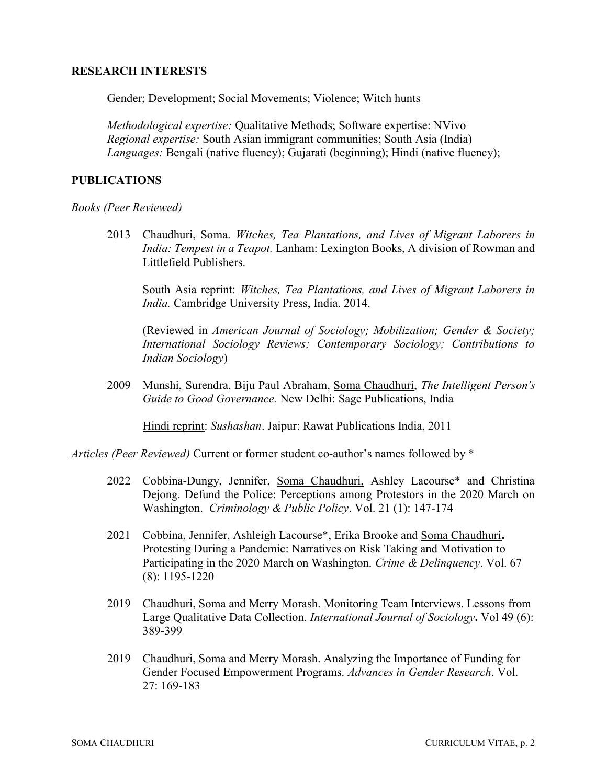## RESEARCH INTERESTS

Gender; Development; Social Movements; Violence; Witch hunts

Methodological expertise: Qualitative Methods; Software expertise: NVivo Regional expertise: South Asian immigrant communities; South Asia (India) Languages: Bengali (native fluency); Gujarati (beginning); Hindi (native fluency);

## PUBLICATIONS

Books (Peer Reviewed)

2013 Chaudhuri, Soma. Witches, Tea Plantations, and Lives of Migrant Laborers in India: Tempest in a Teapot. Lanham: Lexington Books, A division of Rowman and Littlefield Publishers.

South Asia reprint: Witches, Tea Plantations, and Lives of Migrant Laborers in India. Cambridge University Press, India. 2014.

(Reviewed in American Journal of Sociology; Mobilization; Gender & Society; International Sociology Reviews; Contemporary Sociology; Contributions to Indian Sociology)

2009 Munshi, Surendra, Biju Paul Abraham, Soma Chaudhuri, The Intelligent Person's Guide to Good Governance. New Delhi: Sage Publications, India

Hindi reprint: Sushashan. Jaipur: Rawat Publications India, 2011

Articles (Peer Reviewed) Current or former student co-author's names followed by \*

- 2022 Cobbina-Dungy, Jennifer, Soma Chaudhuri, Ashley Lacourse\* and Christina Dejong. Defund the Police: Perceptions among Protestors in the 2020 March on Washington. Criminology & Public Policy. Vol. 21 (1): 147-174
- 2021 Cobbina, Jennifer, Ashleigh Lacourse\*, Erika Brooke and Soma Chaudhuri. Protesting During a Pandemic: Narratives on Risk Taking and Motivation to Participating in the 2020 March on Washington. Crime & Delinquency. Vol. 67 (8): 1195-1220
- 2019 Chaudhuri, Soma and Merry Morash. Monitoring Team Interviews. Lessons from Large Qualitative Data Collection. International Journal of Sociology. Vol 49 (6): 389-399
- 2019 Chaudhuri, Soma and Merry Morash. Analyzing the Importance of Funding for Gender Focused Empowerment Programs. Advances in Gender Research. Vol. 27: 169-183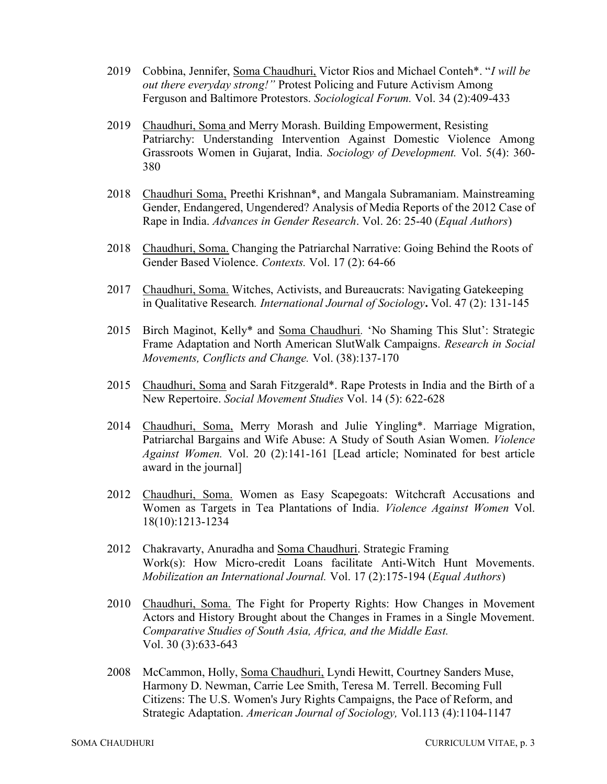- 2019 Cobbina, Jennifer, Soma Chaudhuri, Victor Rios and Michael Conteh\*. "I will be out there everyday strong!" Protest Policing and Future Activism Among Ferguson and Baltimore Protestors. Sociological Forum. Vol. 34 (2):409-433
- 2019 Chaudhuri, Soma and Merry Morash. Building Empowerment, Resisting Patriarchy: Understanding Intervention Against Domestic Violence Among Grassroots Women in Gujarat, India. Sociology of Development. Vol. 5(4): 360- 380
- 2018 Chaudhuri Soma, Preethi Krishnan\*, and Mangala Subramaniam. Mainstreaming Gender, Endangered, Ungendered? Analysis of Media Reports of the 2012 Case of Rape in India. Advances in Gender Research. Vol. 26: 25-40 (Equal Authors)
- 2018 Chaudhuri, Soma. Changing the Patriarchal Narrative: Going Behind the Roots of Gender Based Violence. Contexts. Vol. 17 (2): 64-66
- 2017 Chaudhuri, Soma. Witches, Activists, and Bureaucrats: Navigating Gatekeeping in Qualitative Research. International Journal of Sociology. Vol. 47 (2): 131-145
- 2015 Birch Maginot, Kelly\* and Soma Chaudhuri. 'No Shaming This Slut': Strategic Frame Adaptation and North American SlutWalk Campaigns. Research in Social Movements, Conflicts and Change. Vol. (38):137-170
- 2015 Chaudhuri, Soma and Sarah Fitzgerald\*. Rape Protests in India and the Birth of a New Repertoire. Social Movement Studies Vol. 14 (5): 622-628
- 2014 Chaudhuri, Soma, Merry Morash and Julie Yingling\*. Marriage Migration, Patriarchal Bargains and Wife Abuse: A Study of South Asian Women. Violence Against Women. Vol. 20 (2):141-161 [Lead article; Nominated for best article award in the journal]
- 2012 Chaudhuri, Soma. Women as Easy Scapegoats: Witchcraft Accusations and Women as Targets in Tea Plantations of India. Violence Against Women Vol. 18(10):1213-1234
- 2012 Chakravarty, Anuradha and Soma Chaudhuri. Strategic Framing Work(s): How Micro-credit Loans facilitate Anti-Witch Hunt Movements. Mobilization an International Journal. Vol. 17 (2):175-194 (Equal Authors)
- 2010 Chaudhuri, Soma. The Fight for Property Rights: How Changes in Movement Actors and History Brought about the Changes in Frames in a Single Movement. Comparative Studies of South Asia, Africa, and the Middle East. Vol. 30 (3):633-643
- 2008 McCammon, Holly, Soma Chaudhuri, Lyndi Hewitt, Courtney Sanders Muse, Harmony D. Newman, Carrie Lee Smith, Teresa M. Terrell. Becoming Full Citizens: The U.S. Women's Jury Rights Campaigns, the Pace of Reform, and Strategic Adaptation. American Journal of Sociology, Vol.113 (4):1104-1147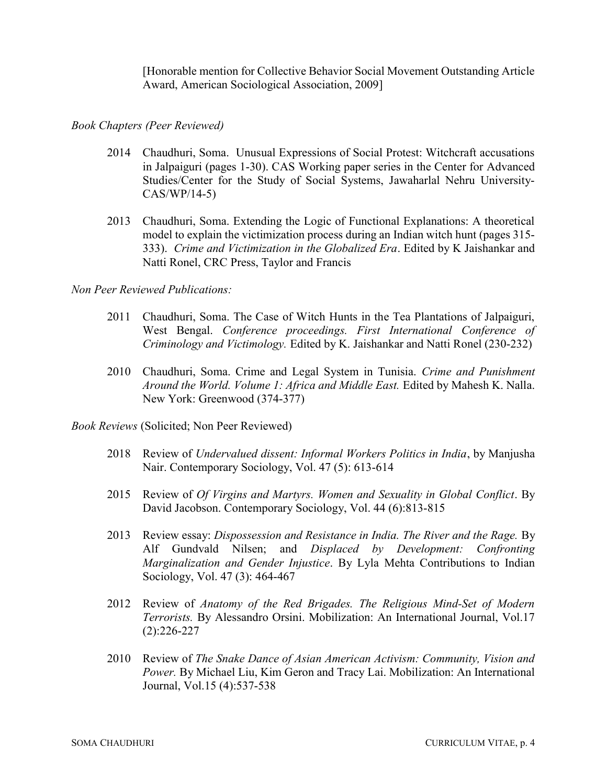[Honorable mention for Collective Behavior Social Movement Outstanding Article Award, American Sociological Association, 2009]

## Book Chapters (Peer Reviewed)

- 2014 Chaudhuri, Soma. Unusual Expressions of Social Protest: Witchcraft accusations in Jalpaiguri (pages 1-30). CAS Working paper series in the Center for Advanced Studies/Center for the Study of Social Systems, Jawaharlal Nehru University-CAS/WP/14-5)
- 2013 Chaudhuri, Soma. Extending the Logic of Functional Explanations: A theoretical model to explain the victimization process during an Indian witch hunt (pages 315- 333). Crime and Victimization in the Globalized Era. Edited by K Jaishankar and Natti Ronel, CRC Press, Taylor and Francis

## Non Peer Reviewed Publications:

- 2011 Chaudhuri, Soma. The Case of Witch Hunts in the Tea Plantations of Jalpaiguri, West Bengal. Conference proceedings. First International Conference of Criminology and Victimology. Edited by K. Jaishankar and Natti Ronel (230-232)
- 2010 Chaudhuri, Soma. Crime and Legal System in Tunisia. Crime and Punishment Around the World. Volume 1: Africa and Middle East. Edited by Mahesh K. Nalla. New York: Greenwood (374-377)

Book Reviews (Solicited; Non Peer Reviewed)

- 2018 Review of Undervalued dissent: Informal Workers Politics in India, by Manjusha Nair. Contemporary Sociology, Vol. 47 (5): 613-614
- 2015 Review of Of Virgins and Martyrs. Women and Sexuality in Global Conflict. By David Jacobson. Contemporary Sociology, Vol. 44 (6):813-815
- 2013 Review essay: Dispossession and Resistance in India. The River and the Rage. By Alf Gundvald Nilsen; and Displaced by Development: Confronting Marginalization and Gender Injustice. By Lyla Mehta Contributions to Indian Sociology, Vol. 47 (3): 464-467
- 2012 Review of Anatomy of the Red Brigades. The Religious Mind-Set of Modern Terrorists. By Alessandro Orsini. Mobilization: An International Journal, Vol.17 (2):226-227
- 2010 Review of The Snake Dance of Asian American Activism: Community, Vision and Power. By Michael Liu, Kim Geron and Tracy Lai. Mobilization: An International Journal, Vol.15 (4):537-538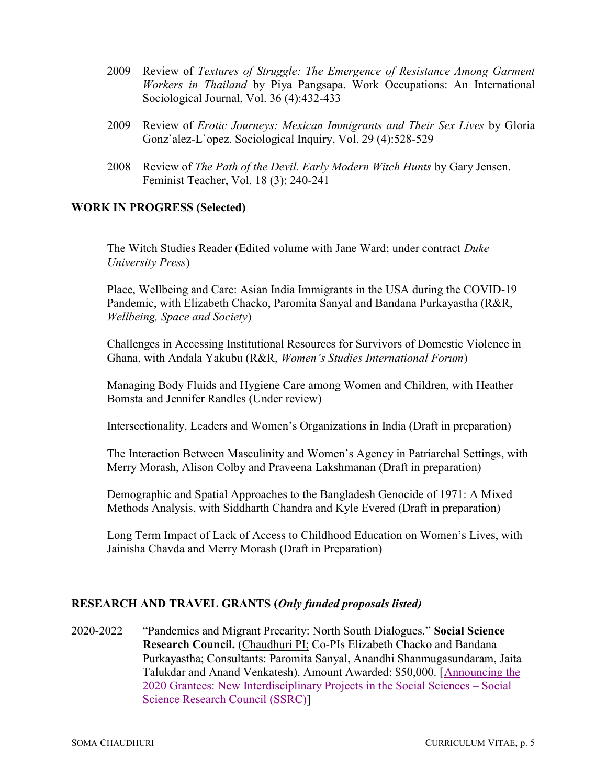- 2009 Review of Textures of Struggle: The Emergence of Resistance Among Garment Workers in Thailand by Piya Pangsapa. Work Occupations: An International Sociological Journal, Vol. 36 (4):432-433
- 2009 Review of Erotic Journeys: Mexican Immigrants and Their Sex Lives by Gloria Gonz`alez-L`opez. Sociological Inquiry, Vol. 29 (4):528-529
- 2008 Review of The Path of the Devil. Early Modern Witch Hunts by Gary Jensen. Feminist Teacher, Vol. 18 (3): 240-241

## WORK IN PROGRESS (Selected)

The Witch Studies Reader (Edited volume with Jane Ward; under contract Duke University Press)

Place, Wellbeing and Care: Asian India Immigrants in the USA during the COVID-19 Pandemic, with Elizabeth Chacko, Paromita Sanyal and Bandana Purkayastha (R&R, Wellbeing, Space and Society)

Challenges in Accessing Institutional Resources for Survivors of Domestic Violence in Ghana, with Andala Yakubu (R&R, Women's Studies International Forum)

Managing Body Fluids and Hygiene Care among Women and Children, with Heather Bomsta and Jennifer Randles (Under review)

Intersectionality, Leaders and Women's Organizations in India (Draft in preparation)

The Interaction Between Masculinity and Women's Agency in Patriarchal Settings, with Merry Morash, Alison Colby and Praveena Lakshmanan (Draft in preparation)

Demographic and Spatial Approaches to the Bangladesh Genocide of 1971: A Mixed Methods Analysis, with Siddharth Chandra and Kyle Evered (Draft in preparation)

Long Term Impact of Lack of Access to Childhood Education on Women's Lives, with Jainisha Chavda and Merry Morash (Draft in Preparation)

## RESEARCH AND TRAVEL GRANTS (Only funded proposals listed)

2020-2022 "Pandemics and Migrant Precarity: North South Dialogues." Social Science Research Council. (Chaudhuri PI; Co-PIs Elizabeth Chacko and Bandana Purkayastha; Consultants: Paromita Sanyal, Anandhi Shanmugasundaram, Jaita Talukdar and Anand Venkatesh). Amount Awarded: \$50,000. [Announcing the 2020 Grantees: New Interdisciplinary Projects in the Social Sciences – Social Science Research Council (SSRC)]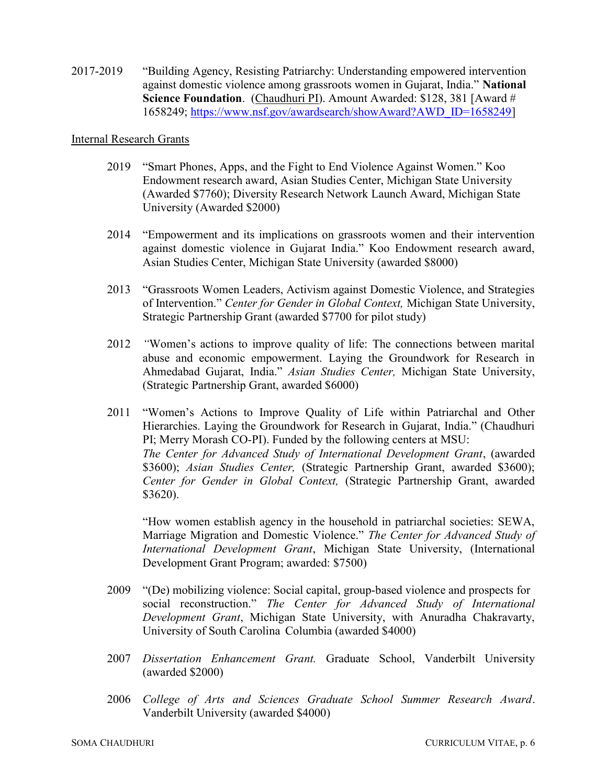2017-2019 "Building Agency, Resisting Patriarchy: Understanding empowered intervention against domestic violence among grassroots women in Gujarat, India." National Science Foundation. (Chaudhuri PI). Amount Awarded: \$128, 381 [Award # 1658249; https://www.nsf.gov/awardsearch/showAward?AWD\_ID=1658249]

#### Internal Research Grants

- 2019 "Smart Phones, Apps, and the Fight to End Violence Against Women." Koo Endowment research award, Asian Studies Center, Michigan State University (Awarded \$7760); Diversity Research Network Launch Award, Michigan State University (Awarded \$2000)
- 2014 "Empowerment and its implications on grassroots women and their intervention against domestic violence in Gujarat India." Koo Endowment research award, Asian Studies Center, Michigan State University (awarded \$8000)
- 2013 "Grassroots Women Leaders, Activism against Domestic Violence, and Strategies of Intervention." Center for Gender in Global Context, Michigan State University, Strategic Partnership Grant (awarded \$7700 for pilot study)
- 2012 "Women's actions to improve quality of life: The connections between marital abuse and economic empowerment. Laying the Groundwork for Research in Ahmedabad Gujarat, India." Asian Studies Center, Michigan State University, (Strategic Partnership Grant, awarded \$6000)
- 2011 "Women's Actions to Improve Quality of Life within Patriarchal and Other Hierarchies. Laying the Groundwork for Research in Gujarat, India." (Chaudhuri PI; Merry Morash CO-PI). Funded by the following centers at MSU: The Center for Advanced Study of International Development Grant, (awarded \$3600); Asian Studies Center, (Strategic Partnership Grant, awarded \$3600); Center for Gender in Global Context, (Strategic Partnership Grant, awarded \$3620).

"How women establish agency in the household in patriarchal societies: SEWA, Marriage Migration and Domestic Violence." The Center for Advanced Study of International Development Grant, Michigan State University, (International Development Grant Program; awarded: \$7500)

- 2009 "(De) mobilizing violence: Social capital, group-based violence and prospects for social reconstruction." The Center for Advanced Study of International Development Grant, Michigan State University, with Anuradha Chakravarty, University of South Carolina Columbia (awarded \$4000)
- 2007 Dissertation Enhancement Grant. Graduate School, Vanderbilt University (awarded \$2000)
- 2006 College of Arts and Sciences Graduate School Summer Research Award. Vanderbilt University (awarded \$4000)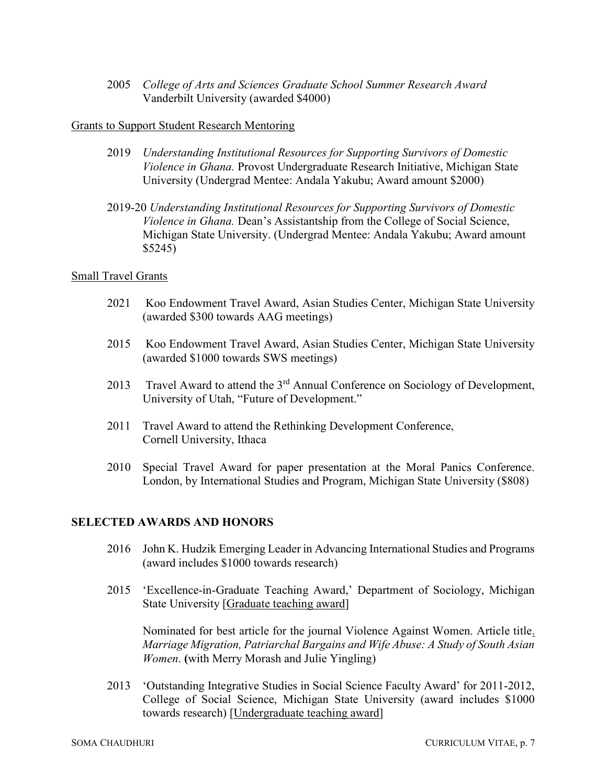2005 College of Arts and Sciences Graduate School Summer Research Award Vanderbilt University (awarded \$4000)

## Grants to Support Student Research Mentoring

- 2019 Understanding Institutional Resources for Supporting Survivors of Domestic Violence in Ghana. Provost Undergraduate Research Initiative, Michigan State University (Undergrad Mentee: Andala Yakubu; Award amount \$2000)
- 2019-20 Understanding Institutional Resources for Supporting Survivors of Domestic Violence in Ghana. Dean's Assistantship from the College of Social Science, Michigan State University. (Undergrad Mentee: Andala Yakubu; Award amount \$5245)

## Small Travel Grants

- 2021 Koo Endowment Travel Award, Asian Studies Center, Michigan State University (awarded \$300 towards AAG meetings)
- 2015 Koo Endowment Travel Award, Asian Studies Center, Michigan State University (awarded \$1000 towards SWS meetings)
- 2013 Travel Award to attend the  $3<sup>rd</sup>$  Annual Conference on Sociology of Development, University of Utah, "Future of Development."
- 2011 Travel Award to attend the Rethinking Development Conference, Cornell University, Ithaca
- 2010 Special Travel Award for paper presentation at the Moral Panics Conference. London, by International Studies and Program, Michigan State University (\$808)

## SELECTED AWARDS AND HONORS

- 2016 John K. Hudzik Emerging Leader in Advancing International Studies and Programs (award includes \$1000 towards research)
- 2015 'Excellence-in-Graduate Teaching Award,' Department of Sociology, Michigan State University [Graduate teaching award]

 Nominated for best article for the journal Violence Against Women. Article title. Marriage Migration, Patriarchal Bargains and Wife Abuse: A Study of South Asian Women. (with Merry Morash and Julie Yingling)

2013 'Outstanding Integrative Studies in Social Science Faculty Award' for 2011-2012, College of Social Science, Michigan State University (award includes \$1000 towards research) [Undergraduate teaching award]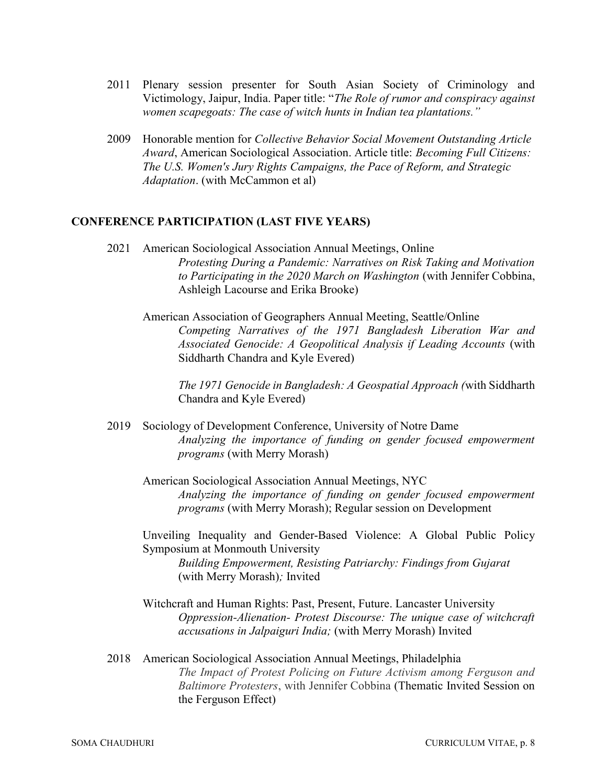- 2011 Plenary session presenter for South Asian Society of Criminology and Victimology, Jaipur, India. Paper title: "The Role of rumor and conspiracy against women scapegoats: The case of witch hunts in Indian tea plantations."
- 2009 Honorable mention for Collective Behavior Social Movement Outstanding Article Award, American Sociological Association. Article title: Becoming Full Citizens: The U.S. Women's Jury Rights Campaigns, the Pace of Reform, and Strategic Adaptation. (with McCammon et al)

#### CONFERENCE PARTICIPATION (LAST FIVE YEARS)

- 2021 American Sociological Association Annual Meetings, Online Protesting During a Pandemic: Narratives on Risk Taking and Motivation to Participating in the 2020 March on Washington (with Jennifer Cobbina, Ashleigh Lacourse and Erika Brooke)
	- American Association of Geographers Annual Meeting, Seattle/Online Competing Narratives of the 1971 Bangladesh Liberation War and Associated Genocide: A Geopolitical Analysis if Leading Accounts (with Siddharth Chandra and Kyle Evered)

The 1971 Genocide in Bangladesh: A Geospatial Approach (with Siddharth Chandra and Kyle Evered)

- 2019 Sociology of Development Conference, University of Notre Dame Analyzing the importance of funding on gender focused empowerment programs (with Merry Morash)
	- American Sociological Association Annual Meetings, NYC Analyzing the importance of funding on gender focused empowerment programs (with Merry Morash); Regular session on Development

Unveiling Inequality and Gender-Based Violence: A Global Public Policy Symposium at Monmouth University Building Empowerment, Resisting Patriarchy: Findings from Gujarat (with Merry Morash); Invited

- Witchcraft and Human Rights: Past, Present, Future. Lancaster University Oppression-Alienation- Protest Discourse: The unique case of witchcraft accusations in Jalpaiguri India; (with Merry Morash) Invited
- 2018 American Sociological Association Annual Meetings, Philadelphia The Impact of Protest Policing on Future Activism among Ferguson and Baltimore Protesters, with Jennifer Cobbina (Thematic Invited Session on the Ferguson Effect)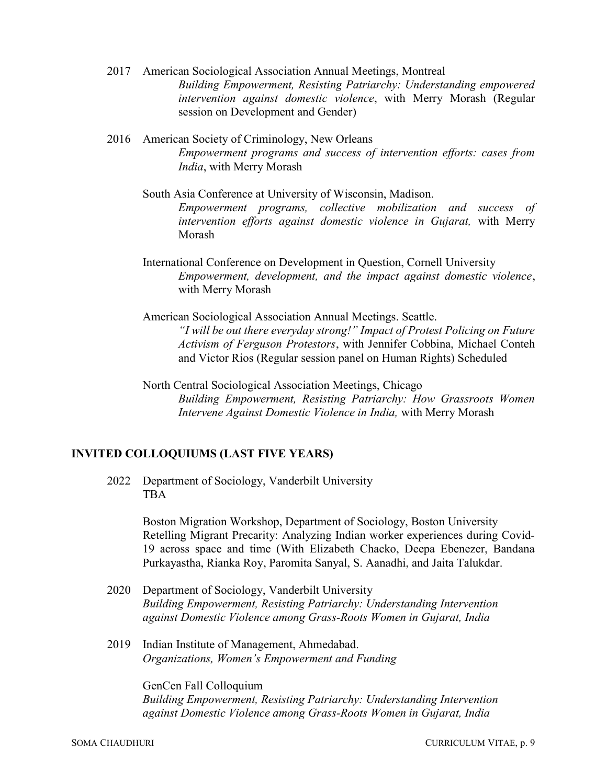- 2017 American Sociological Association Annual Meetings, Montreal Building Empowerment, Resisting Patriarchy: Understanding empowered intervention against domestic violence, with Merry Morash (Regular session on Development and Gender)
- 2016 American Society of Criminology, New Orleans Empowerment programs and success of intervention efforts: cases from India, with Merry Morash
	- South Asia Conference at University of Wisconsin, Madison. Empowerment programs, collective mobilization and success of intervention efforts against domestic violence in Gujarat, with Merry Morash
	- International Conference on Development in Question, Cornell University Empowerment, development, and the impact against domestic violence, with Merry Morash
	- American Sociological Association Annual Meetings. Seattle. "I will be out there everyday strong!" Impact of Protest Policing on Future Activism of Ferguson Protestors, with Jennifer Cobbina, Michael Conteh and Victor Rios (Regular session panel on Human Rights) Scheduled
	- North Central Sociological Association Meetings, Chicago Building Empowerment, Resisting Patriarchy: How Grassroots Women Intervene Against Domestic Violence in India, with Merry Morash

## INVITED COLLOQUIUMS (LAST FIVE YEARS)

2022 Department of Sociology, Vanderbilt University TBA

> Boston Migration Workshop, Department of Sociology, Boston University Retelling Migrant Precarity: Analyzing Indian worker experiences during Covid-19 across space and time (With Elizabeth Chacko, Deepa Ebenezer, Bandana Purkayastha, Rianka Roy, Paromita Sanyal, S. Aanadhi, and Jaita Talukdar.

- 2020 Department of Sociology, Vanderbilt University Building Empowerment, Resisting Patriarchy: Understanding Intervention against Domestic Violence among Grass-Roots Women in Gujarat, India
- 2019 Indian Institute of Management, Ahmedabad. Organizations, Women's Empowerment and Funding

GenCen Fall Colloquium Building Empowerment, Resisting Patriarchy: Understanding Intervention against Domestic Violence among Grass-Roots Women in Gujarat, India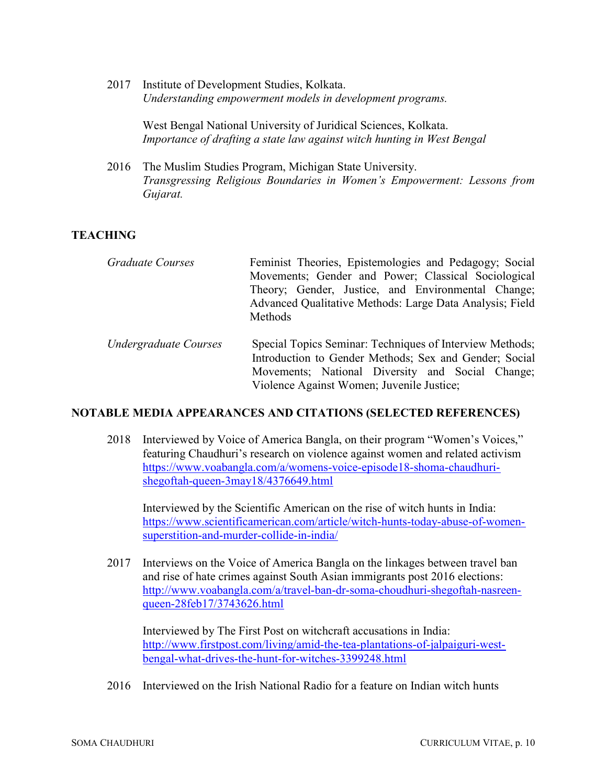2017 Institute of Development Studies, Kolkata. Understanding empowerment models in development programs.

> West Bengal National University of Juridical Sciences, Kolkata. Importance of drafting a state law against witch hunting in West Bengal

2016 The Muslim Studies Program, Michigan State University. Transgressing Religious Boundaries in Women's Empowerment: Lessons from Gujarat.

## **TEACHING**

| Graduate Courses | Feminist Theories, Epistemologies and Pedagogy; Social   |
|------------------|----------------------------------------------------------|
|                  | Movements; Gender and Power; Classical Sociological      |
|                  | Theory; Gender, Justice, and Environmental Change;       |
|                  | Advanced Qualitative Methods: Large Data Analysis; Field |
|                  | Methods                                                  |
|                  |                                                          |
|                  |                                                          |

Undergraduate Courses Special Topics Seminar: Techniques of Interview Methods; Introduction to Gender Methods; Sex and Gender; Social Movements; National Diversity and Social Change; Violence Against Women; Juvenile Justice;

#### NOTABLE MEDIA APPEARANCES AND CITATIONS (SELECTED REFERENCES)

2018 Interviewed by Voice of America Bangla, on their program "Women's Voices," featuring Chaudhuri's research on violence against women and related activism https://www.voabangla.com/a/womens-voice-episode18-shoma-chaudhurishegoftah-queen-3may18/4376649.html

 Interviewed by the Scientific American on the rise of witch hunts in India: https://www.scientificamerican.com/article/witch-hunts-today-abuse-of-womensuperstition-and-murder-collide-in-india/

2017 Interviews on the Voice of America Bangla on the linkages between travel ban and rise of hate crimes against South Asian immigrants post 2016 elections: http://www.voabangla.com/a/travel-ban-dr-soma-choudhuri-shegoftah-nasreenqueen-28feb17/3743626.html

 Interviewed by The First Post on witchcraft accusations in India: http://www.firstpost.com/living/amid-the-tea-plantations-of-jalpaiguri-westbengal-what-drives-the-hunt-for-witches-3399248.html

2016 Interviewed on the Irish National Radio for a feature on Indian witch hunts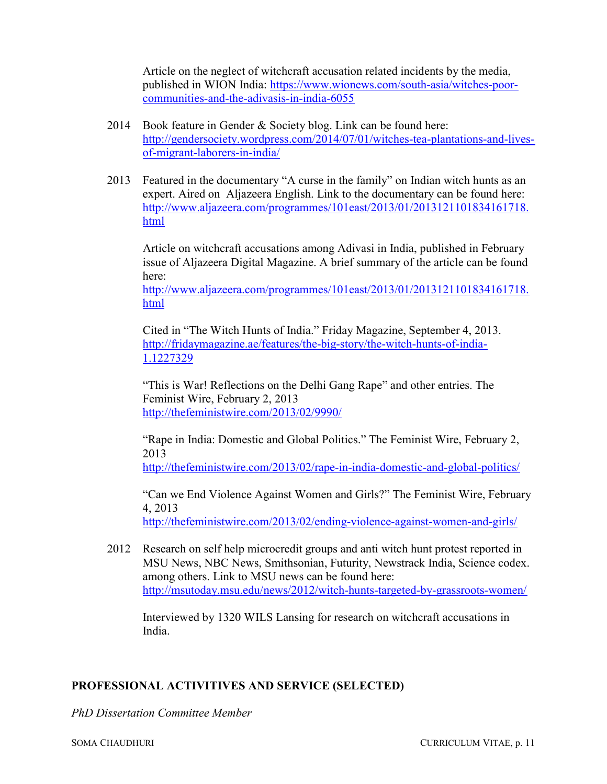Article on the neglect of witchcraft accusation related incidents by the media, published in WION India: https://www.wionews.com/south-asia/witches-poorcommunities-and-the-adivasis-in-india-6055

- 2014 Book feature in Gender & Society blog. Link can be found here: http://gendersociety.wordpress.com/2014/07/01/witches-tea-plantations-and-livesof-migrant-laborers-in-india/
- 2013 Featured in the documentary "A curse in the family" on Indian witch hunts as an expert. Aired on Aljazeera English. Link to the documentary can be found here: http://www.aljazeera.com/programmes/101east/2013/01/2013121101834161718. html

 Article on witchcraft accusations among Adivasi in India, published in February issue of Aljazeera Digital Magazine. A brief summary of the article can be found here:

http://www.aljazeera.com/programmes/101east/2013/01/2013121101834161718. html

 Cited in "The Witch Hunts of India." Friday Magazine, September 4, 2013. http://fridaymagazine.ae/features/the-big-story/the-witch-hunts-of-india-1.1227329

 "This is War! Reflections on the Delhi Gang Rape" and other entries. The Feminist Wire, February 2, 2013 http://thefeministwire.com/2013/02/9990/

"Rape in India: Domestic and Global Politics." The Feminist Wire, February 2, 2013

http://thefeministwire.com/2013/02/rape-in-india-domestic-and-global-politics/

"Can we End Violence Against Women and Girls?" The Feminist Wire, February 4, 2013

http://thefeministwire.com/2013/02/ending-violence-against-women-and-girls/

2012 Research on self help microcredit groups and anti witch hunt protest reported in MSU News, NBC News, Smithsonian, Futurity, Newstrack India, Science codex. among others. Link to MSU news can be found here: http://msutoday.msu.edu/news/2012/witch-hunts-targeted-by-grassroots-women/

 Interviewed by 1320 WILS Lansing for research on witchcraft accusations in India.

## PROFESSIONAL ACTIVITIVES AND SERVICE (SELECTED)

PhD Dissertation Committee Member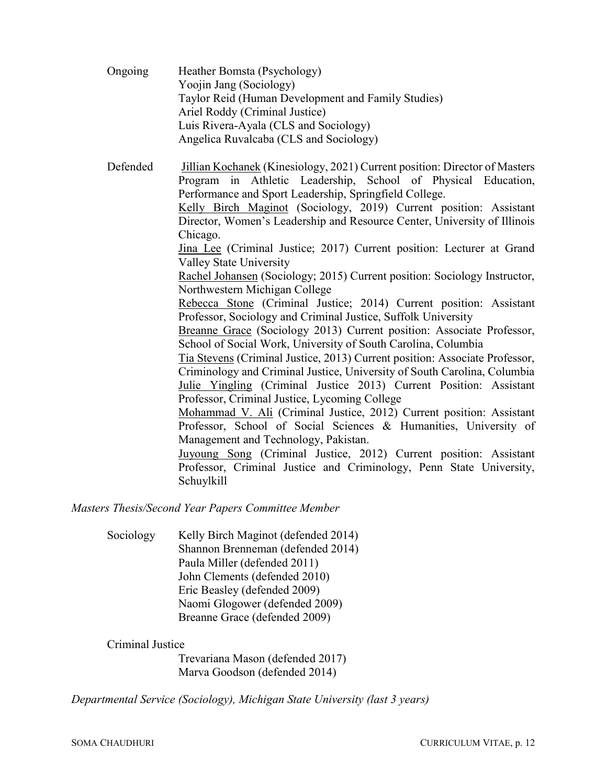| Ongoing  | Heather Bomsta (Psychology)<br>Yoojin Jang (Sociology)                      |
|----------|-----------------------------------------------------------------------------|
|          | Taylor Reid (Human Development and Family Studies)                          |
|          | Ariel Roddy (Criminal Justice)                                              |
|          | Luis Rivera-Ayala (CLS and Sociology)                                       |
|          | Angelica Ruvalcaba (CLS and Sociology)                                      |
| Defended | Jillian Kochanek (Kinesiology, 2021) Current position: Director of Masters  |
|          | Program in Athletic Leadership, School of Physical Education,               |
|          | Performance and Sport Leadership, Springfield College.                      |
|          | Kelly Birch Maginot (Sociology, 2019) Current position: Assistant           |
|          | Director, Women's Leadership and Resource Center, University of Illinois    |
|          | Chicago.                                                                    |
|          | Jina Lee (Criminal Justice; 2017) Current position: Lecturer at Grand       |
|          | Valley State University                                                     |
|          | Rachel Johansen (Sociology; 2015) Current position: Sociology Instructor,   |
|          | Northwestern Michigan College                                               |
|          | Rebecca Stone (Criminal Justice; 2014) Current position: Assistant          |
|          | Professor, Sociology and Criminal Justice, Suffolk University               |
|          | Breanne Grace (Sociology 2013) Current position: Associate Professor,       |
|          | School of Social Work, University of South Carolina, Columbia               |
|          | Tia Stevens (Criminal Justice, 2013) Current position: Associate Professor, |
|          | Criminology and Criminal Justice, University of South Carolina, Columbia    |
|          | Julie Yingling (Criminal Justice 2013) Current Position: Assistant          |
|          | Professor, Criminal Justice, Lycoming College                               |
|          | Mohammad V. Ali (Criminal Justice, 2012) Current position: Assistant        |
|          | Professor, School of Social Sciences & Humanities, University of            |
|          | Management and Technology, Pakistan.                                        |
|          | Juyoung Song (Criminal Justice, 2012) Current position: Assistant           |
|          | Professor, Criminal Justice and Criminology, Penn State University,         |
|          | Schuylkill                                                                  |
|          |                                                                             |

Masters Thesis/Second Year Papers Committee Member

Sociology Kelly Birch Maginot (defended 2014) Shannon Brenneman (defended 2014) Paula Miller (defended 2011) John Clements (defended 2010) Eric Beasley (defended 2009) Naomi Glogower (defended 2009) Breanne Grace (defended 2009)

## Criminal Justice

 Trevariana Mason (defended 2017) Marva Goodson (defended 2014)

Departmental Service (Sociology), Michigan State University (last 3 years)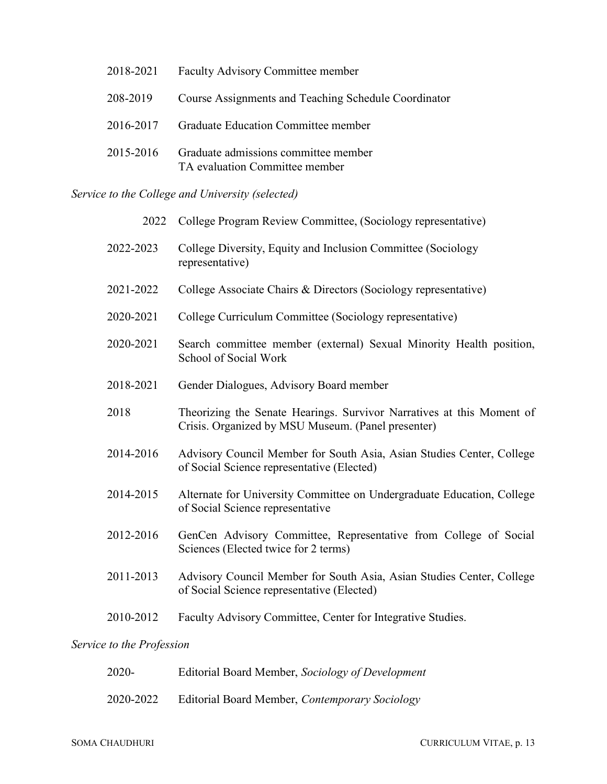| 2018-2021 | Faculty Advisory Committee member                                      |
|-----------|------------------------------------------------------------------------|
| 208-2019  | Course Assignments and Teaching Schedule Coordinator                   |
| 2016-2017 | Graduate Education Committee member                                    |
| 2015-2016 | Graduate admissions committee member<br>TA evaluation Committee member |

Service to the College and University (selected)

| 2022      | College Program Review Committee, (Sociology representative)                                                                |
|-----------|-----------------------------------------------------------------------------------------------------------------------------|
| 2022-2023 | College Diversity, Equity and Inclusion Committee (Sociology<br>representative)                                             |
| 2021-2022 | College Associate Chairs & Directors (Sociology representative)                                                             |
| 2020-2021 | College Curriculum Committee (Sociology representative)                                                                     |
| 2020-2021 | Search committee member (external) Sexual Minority Health position,<br>School of Social Work                                |
| 2018-2021 | Gender Dialogues, Advisory Board member                                                                                     |
| 2018      | Theorizing the Senate Hearings. Survivor Narratives at this Moment of<br>Crisis. Organized by MSU Museum. (Panel presenter) |
| 2014-2016 | Advisory Council Member for South Asia, Asian Studies Center, College<br>of Social Science representative (Elected)         |
| 2014-2015 | Alternate for University Committee on Undergraduate Education, College<br>of Social Science representative                  |
| 2012-2016 | GenCen Advisory Committee, Representative from College of Social<br>Sciences (Elected twice for 2 terms)                    |
| 2011-2013 | Advisory Council Member for South Asia, Asian Studies Center, College<br>of Social Science representative (Elected)         |
| 2010-2012 | Faculty Advisory Committee, Center for Integrative Studies.                                                                 |

## Service to the Profession

| 2020-     | Editorial Board Member, Sociology of Development |
|-----------|--------------------------------------------------|
| 2020-2022 | Editorial Board Member, Contemporary Sociology   |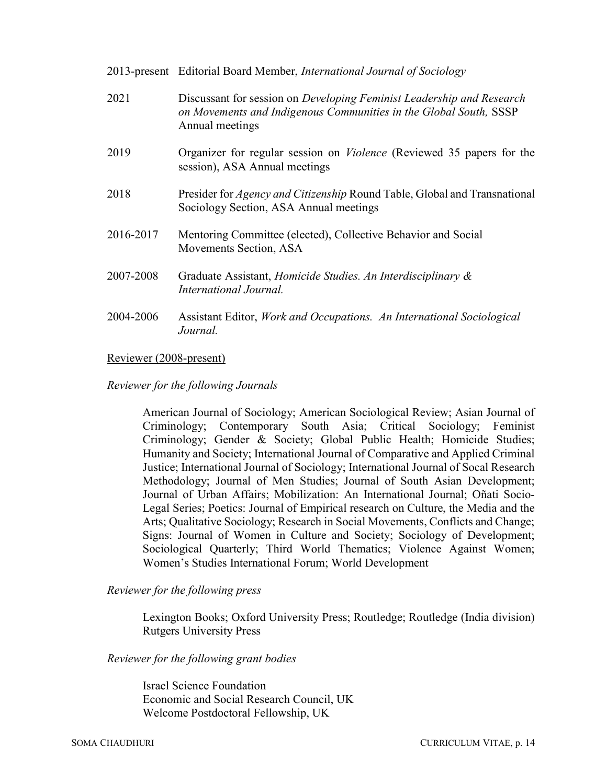|           | 2013-present Editorial Board Member, International Journal of Sociology                                                                                       |
|-----------|---------------------------------------------------------------------------------------------------------------------------------------------------------------|
| 2021      | Discussant for session on Developing Feminist Leadership and Research<br>on Movements and Indigenous Communities in the Global South, SSSP<br>Annual meetings |
| 2019      | Organizer for regular session on <i>Violence</i> (Reviewed 35 papers for the<br>session), ASA Annual meetings                                                 |
| 2018      | Presider for <i>Agency and Citizenship</i> Round Table, Global and Transnational<br>Sociology Section, ASA Annual meetings                                    |
| 2016-2017 | Mentoring Committee (elected), Collective Behavior and Social<br>Movements Section, ASA                                                                       |
| 2007-2008 | Graduate Assistant, <i>Homicide Studies. An Interdisciplinary &amp;</i><br>International Journal.                                                             |
| 2004-2006 | Assistant Editor, Work and Occupations. An International Sociological<br>Journal.                                                                             |

## Reviewer (2008-present)

## Reviewer for the following Journals

American Journal of Sociology; American Sociological Review; Asian Journal of Criminology; Contemporary South Asia; Critical Sociology; Feminist Criminology; Gender & Society; Global Public Health; Homicide Studies; Humanity and Society; International Journal of Comparative and Applied Criminal Justice; International Journal of Sociology; International Journal of Socal Research Methodology; Journal of Men Studies; Journal of South Asian Development; Journal of Urban Affairs; Mobilization: An International Journal; Oñati Socio-Legal Series; Poetics: Journal of Empirical research on Culture, the Media and the Arts; Qualitative Sociology; Research in Social Movements, Conflicts and Change; Signs: Journal of Women in Culture and Society; Sociology of Development; Sociological Quarterly; Third World Thematics; Violence Against Women; Women's Studies International Forum; World Development

#### Reviewer for the following press

Lexington Books; Oxford University Press; Routledge; Routledge (India division) Rutgers University Press

#### Reviewer for the following grant bodies

Israel Science Foundation Economic and Social Research Council, UK Welcome Postdoctoral Fellowship, UK